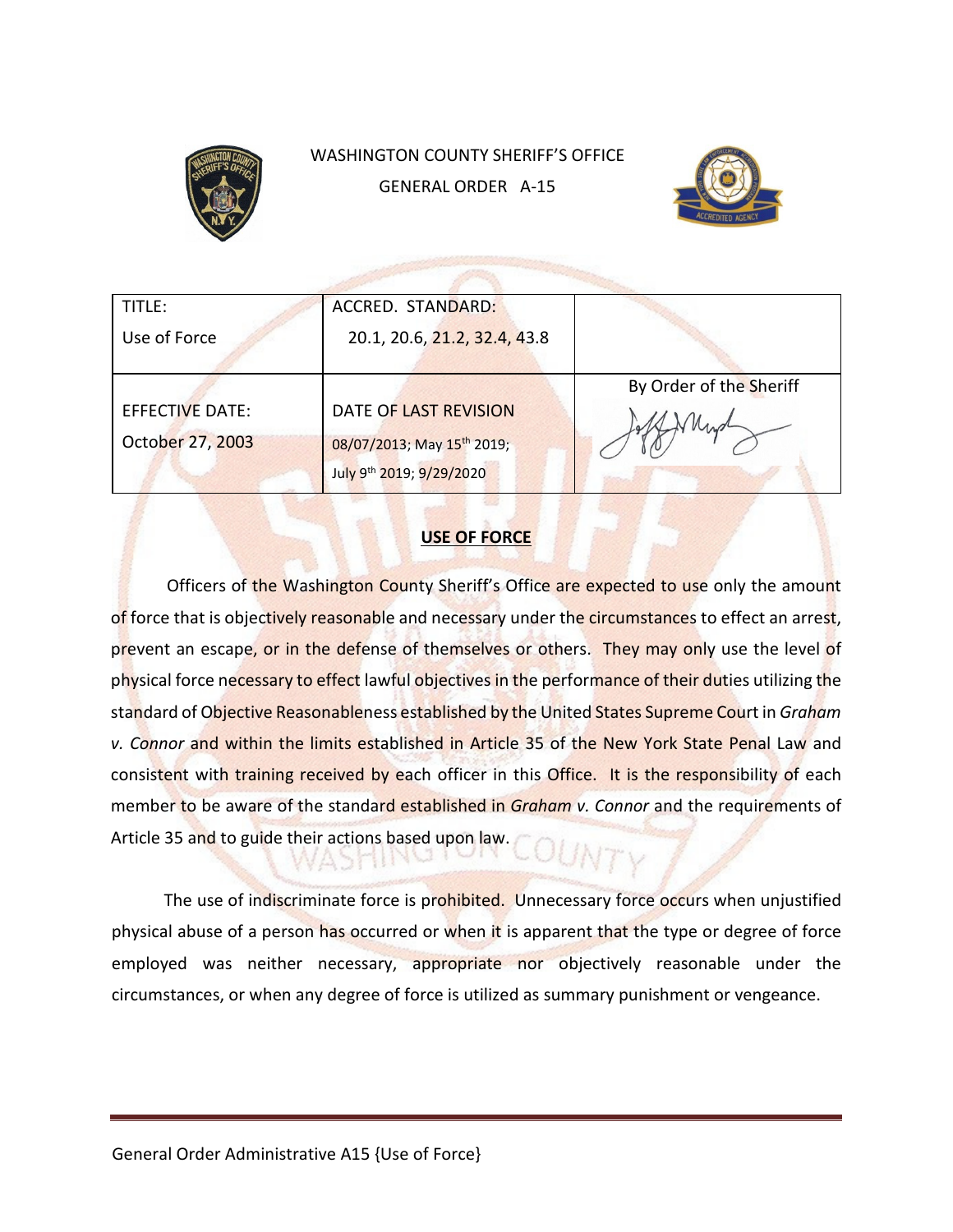

# WASHINGTON COUNTY SHERIFF'S OFFICE GENERAL ORDER A-15



| TITLE:           | ACCRED. STANDARD:                      |                         |
|------------------|----------------------------------------|-------------------------|
|                  |                                        |                         |
| Use of Force     | 20.1, 20.6, 21.2, 32.4, 43.8           |                         |
|                  |                                        |                         |
|                  |                                        | By Order of the Sheriff |
| EFFECTIVE DATE:  | DATE OF LAST REVISION                  |                         |
| October 27, 2003 | 08/07/2013; May 15 <sup>th</sup> 2019; |                         |
|                  | July 9th 2019; 9/29/2020               |                         |

# **USE OF FORCE**

Officers of the Washington County Sheriff's Office are expected to use only the amount of force that is objectively reasonable and necessary under the circumstances to effect an arrest, prevent an escape, or in the defense of themselves or others. They may only use the level of physical force necessary to effect lawful objectives in the performance of their duties utilizing the standard of Objective Reasonableness established by the United States Supreme Court in *Graham v. Connor* and within the limits established in Article 35 of the New York State Penal Law and consistent with training received by each officer in this Office. It is the responsibility of each member to be aware of the standard established in *Graham v. Connor* and the requirements of Article 35 and to guide their actions based upon law.

The use of indiscriminate force is prohibited. Unnecessary force occurs when unjustified physical abuse of a person has occurred or when it is apparent that the type or degree of force employed was neither necessary, appropriate nor objectively reasonable under the circumstances, or when any degree of force is utilized as summary punishment or vengeance.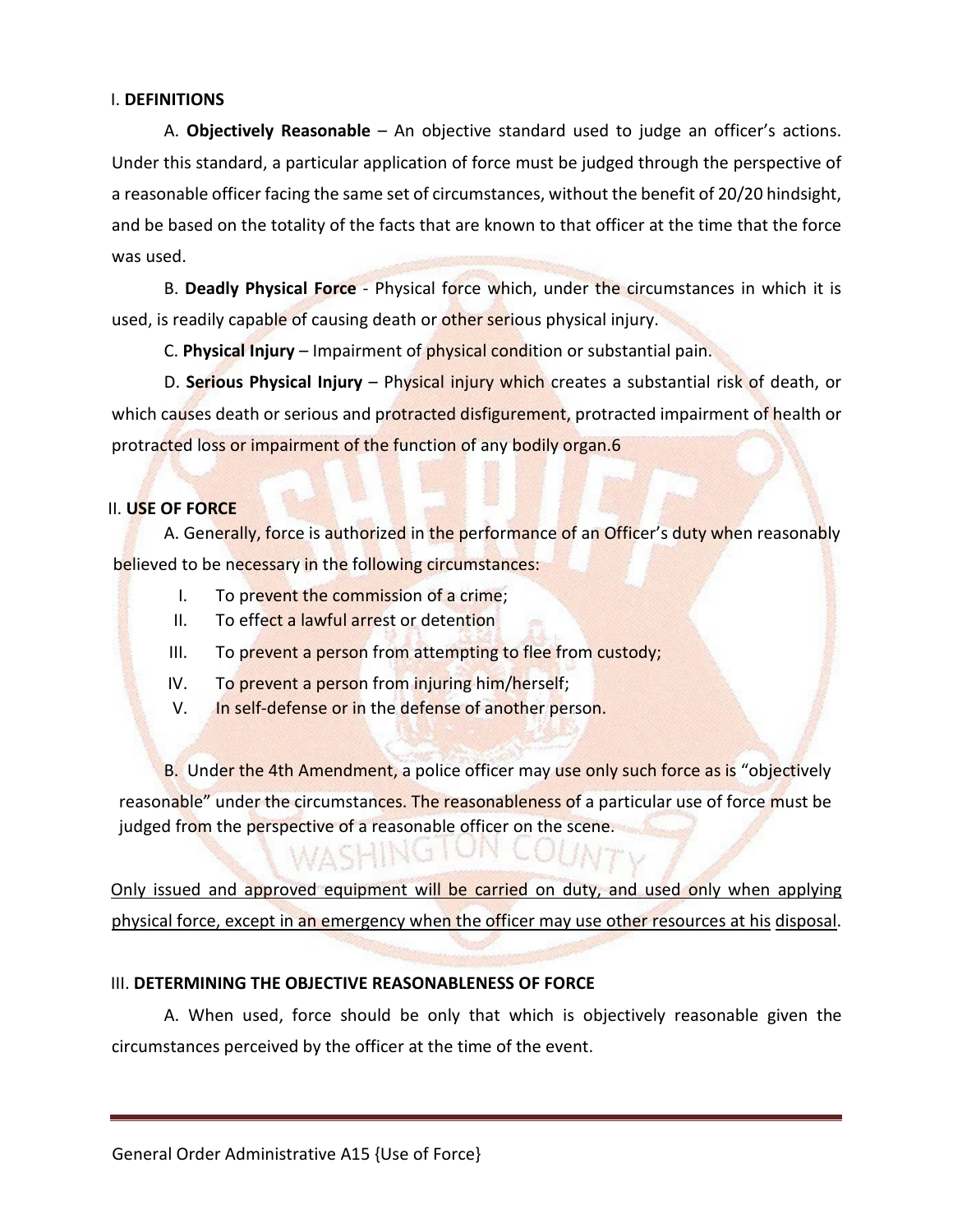## I. **DEFINITIONS**

 A. **Objectively Reasonable** – An objective standard used to judge an officer's actions. Under this standard, a particular application of force must be judged through the perspective of a reasonable officer facing the same set of circumstances, without the benefit of 20/20 hindsight, and be based on the totality of the facts that are known to that officer at the time that the force was used.

 B. **Deadly Physical Force** - Physical force which, under the circumstances in which it is used, is readily capable of causing death or other serious physical injury.

C. **Physical Injury** – Impairment of physical condition or substantial pain.

 D. **Serious Physical Injury** – Physical injury which creates a substantial risk of death, or which causes death or serious and protracted disfigurement, protracted impairment of health or protracted loss or impairment of the function of any bodily organ.6

# II. **USE OF FORCE**

A. Generally, force is authorized in the performance of an Officer's duty when reasonably believed to be necessary in the following circumstances:

- I. To prevent the commission of a crime;
- II. To effect a lawful arrest or detention
- III. To prevent a person from attempting to flee from custody;
- IV. To prevent a person from injuring him/herself;
- V. In self-defense or in the defense of another person.

B. Under the 4th Amendment, a police officer may use only such force as is "objectively reasonable" under the circumstances. The reasonableness of a particular use of force must be judged from the perspective of a reasonable officer on the scene.

Only issued and approved equipment will be carried on duty, and used only when applying physical force, except in an emergency when the officer may use other resources at his disposal.

# III. **DETERMINING THE OBJECTIVE REASONABLENESS OF FORCE**

A. When used, force should be only that which is objectively reasonable given the circumstances perceived by the officer at the time of the event.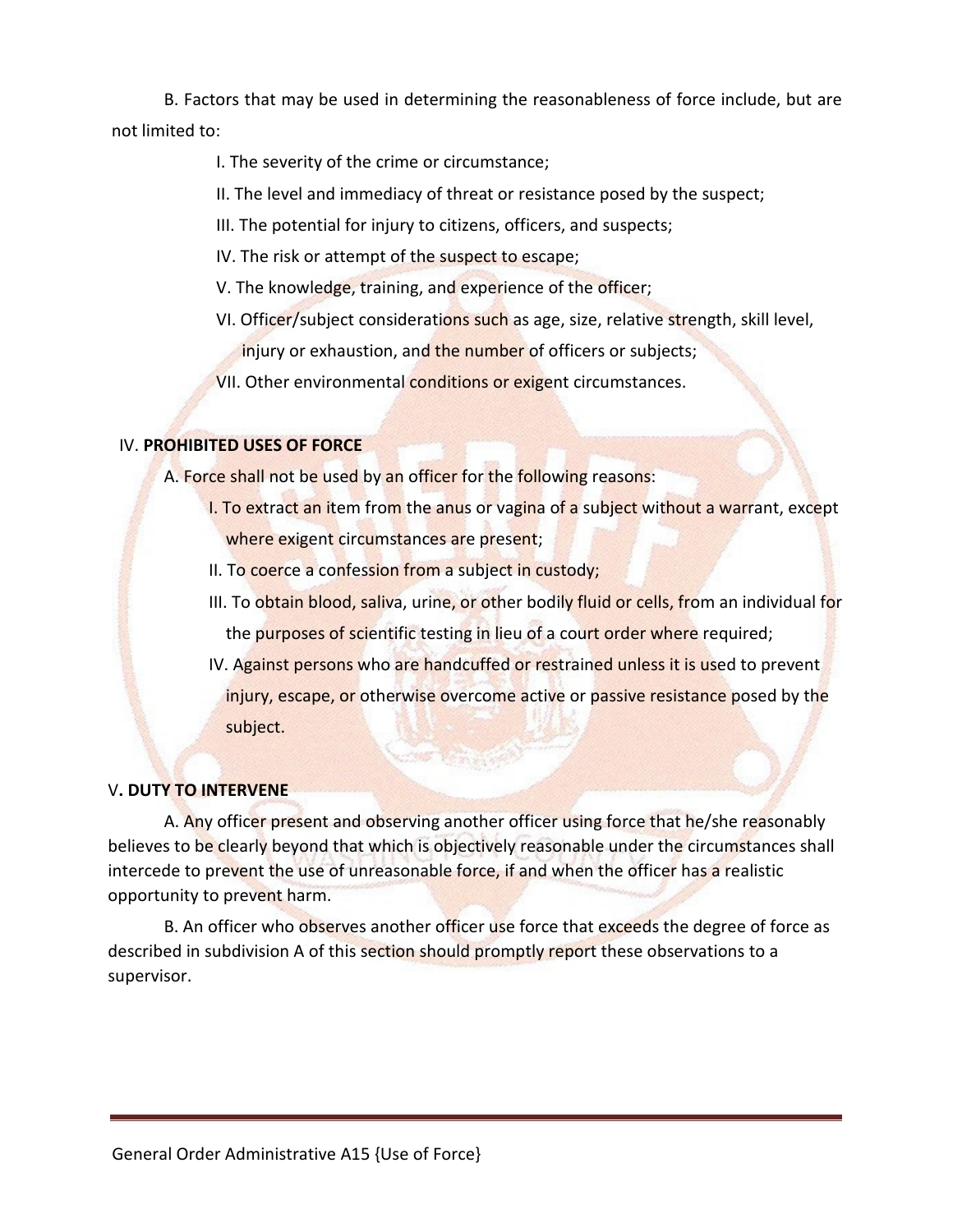B. Factors that may be used in determining the reasonableness of force include, but are not limited to:

# I. The severity of the crime or circumstance;

- II. The level and immediacy of threat or resistance posed by the suspect;
- III. The potential for injury to citizens, officers, and suspects;
- IV. The risk or attempt of the suspect to escape;
- V. The knowledge, training, and experience of the officer;
- VI. Officer/subject considerations such as age, size, relative strength, skill level, injury or exhaustion, and the number of officers or subjects;
- VII. Other environmental conditions or exigent circumstances.

# IV. **PROHIBITED USES OF FORCE**

A. Force shall not be used by an officer for the following reasons:

- I. To extract an item from the anus or vagina of a subject without a warrant, except where exigent circumstances are present;
- II. To coerce a confession from a subject in custody;
- III. To obtain blood, saliva, urine, or other bodily fluid or cells, from an individual for the purposes of scientific testing in lieu of a court order where required;
- IV. Against persons who are handcuffed or restrained unless it is used to prevent injury, escape, or otherwise overcome active or passive resistance posed by the subject.

# V**. DUTY TO INTERVENE**

A. Any officer present and observing another officer using force that he/she reasonably believes to be clearly beyond that which is objectively reasonable under the circumstances shall intercede to prevent the use of unreasonable force, if and when the officer has a realistic opportunity to prevent harm.

B. An officer who observes another officer use force that exceeds the degree of force as described in subdivision A of this section should promptly report these observations to a supervisor.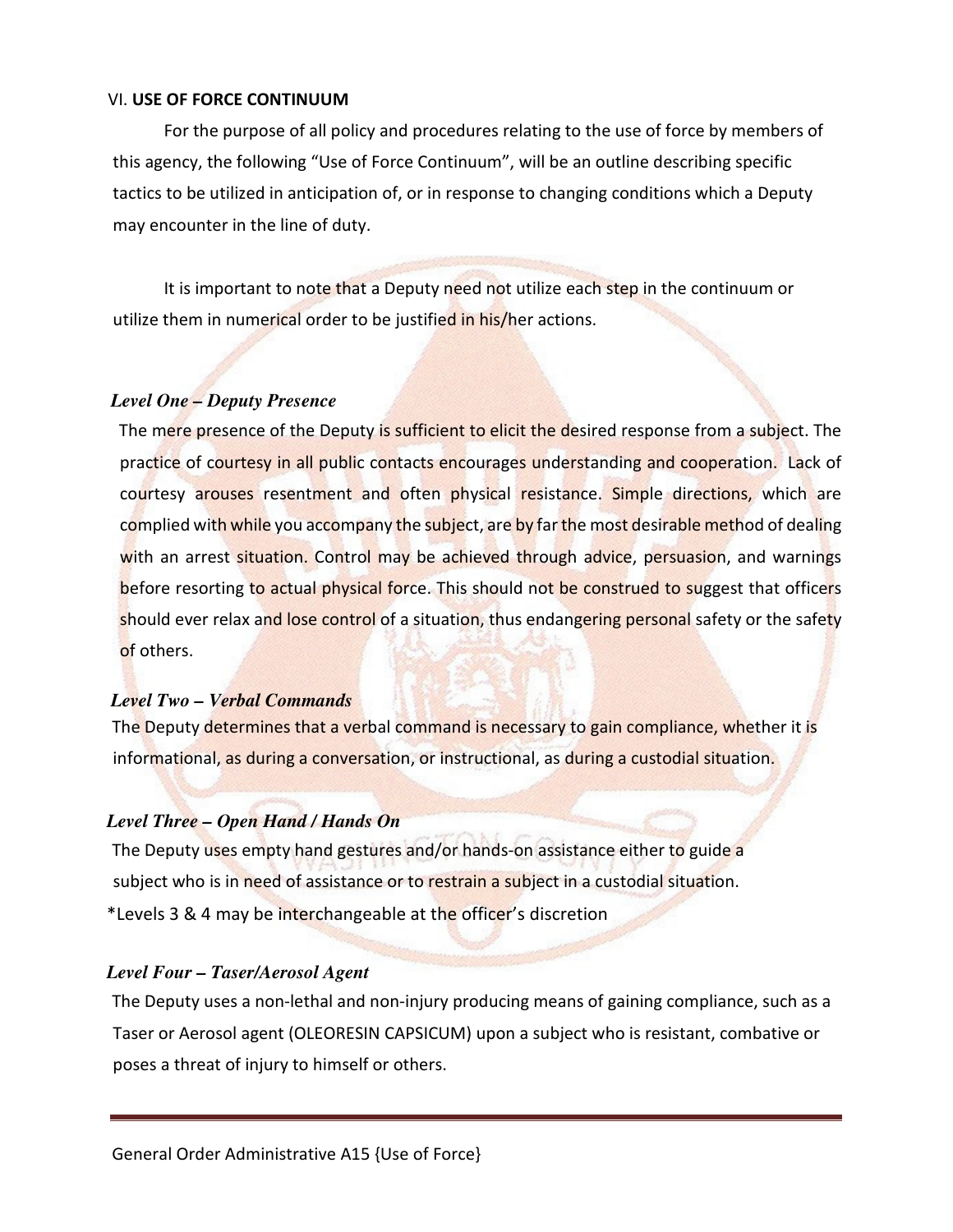# VI. **USE OF FORCE CONTINUUM**

For the purpose of all policy and procedures relating to the use of force by members of this agency, the following "Use of Force Continuum", will be an outline describing specific tactics to be utilized in anticipation of, or in response to changing conditions which a Deputy may encounter in the line of duty.

It is important to note that a Deputy need not utilize each step in the continuum or utilize them in numerical order to be justified in his/her actions.

## *Level One – Deputy Presence*

The mere presence of the Deputy is sufficient to elicit the desired response from a subject. The practice of courtesy in all public contacts encourages understanding and cooperation. Lack of courtesy arouses resentment and often physical resistance. Simple directions, which are complied with while you accompany the subject, are by far the most desirable method of dealing with an arrest situation. Control may be achieved through advice, persuasion, and warnings before resorting to actual physical force. This should not be construed to suggest that officers should ever relax and lose control of a situation, thus endangering personal safety or the safety of others.

#### *Level Two – Verbal Commands*

The Deputy determines that a verbal command is necessary to gain compliance, whether it is informational, as during a conversation, or instructional, as during a custodial situation.

# *Level Three – Open Hand / Hands On*

The Deputy uses empty hand gestures and/or hands-on assistance either to guide a subject who is in need of assistance or to restrain a subject in a custodial situation. \*Levels 3 & 4 may be interchangeable at the officer's discretion

# *Level Four – Taser/Aerosol Agent*

The Deputy uses a non-lethal and non-injury producing means of gaining compliance, such as a Taser or Aerosol agent (OLEORESIN CAPSICUM) upon a subject who is resistant, combative or poses a threat of injury to himself or others.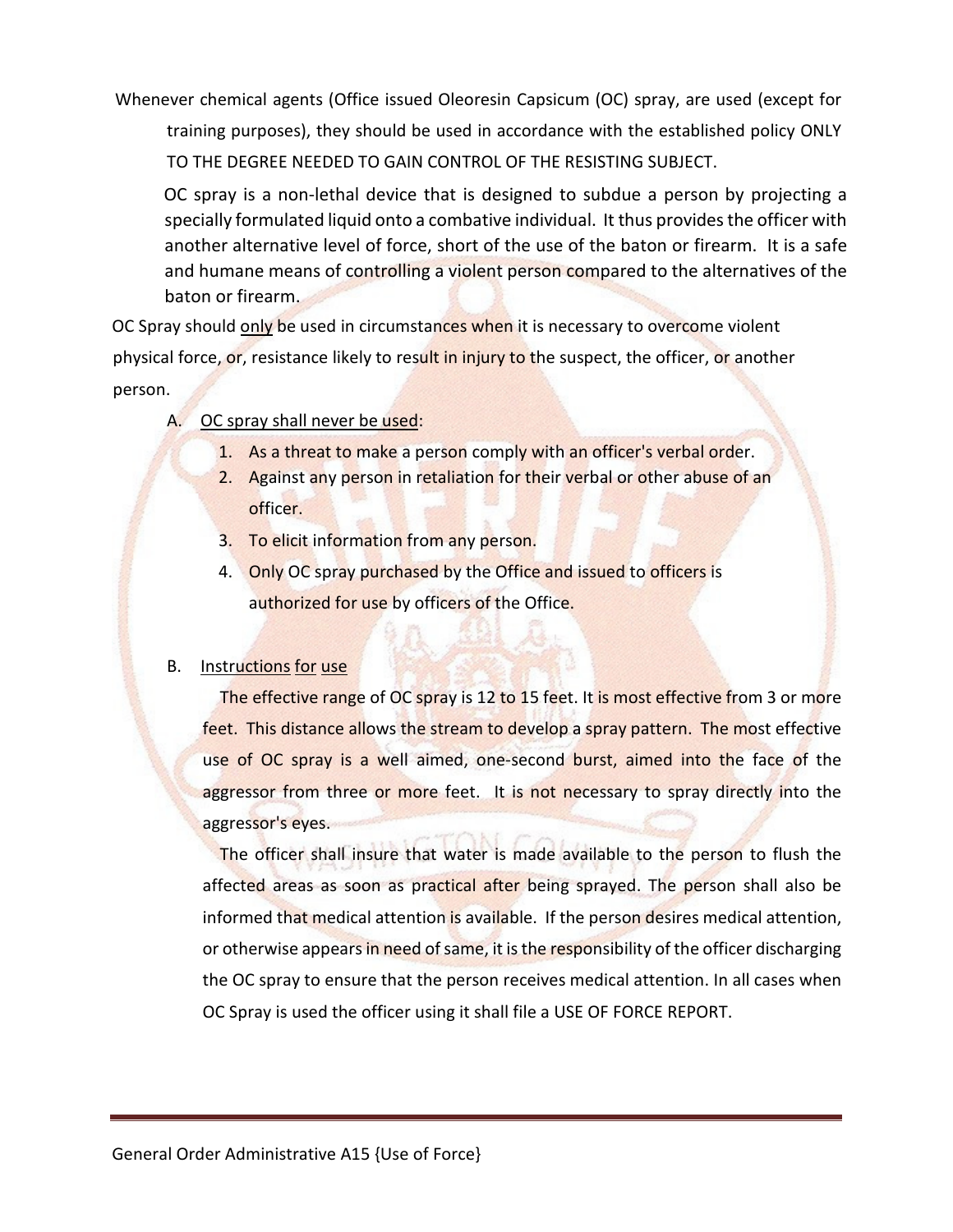Whenever chemical agents (Office issued Oleoresin Capsicum (OC) spray, are used (except for training purposes), they should be used in accordance with the established policy ONLY TO THE DEGREE NEEDED TO GAIN CONTROL OF THE RESISTING SUBJECT.

OC spray is a non-lethal device that is designed to subdue a person by projecting a specially formulated liquid onto a combative individual. It thus provides the officer with another alternative level of force, short of the use of the baton or firearm. It is a safe and humane means of controlling a violent person compared to the alternatives of the baton or firearm.

OC Spray should only be used in circumstances when it is necessary to overcome violent physical force, or, resistance likely to result in injury to the suspect, the officer, or another person.

- A. OC spray shall never be used:
	- 1. As a threat to make a person comply with an officer's verbal order.
	- 2. Against any person in retaliation for their verbal or other abuse of an officer.
	- 3. To elicit information from any person.
	- 4. Only OC spray purchased by the Office and issued to officers is authorized for use by officers of the Office.

# B. Instructions for use

The effective range of OC spray is 12 to 15 feet. It is most effective from 3 or more feet. This distance allows the stream to develop a spray pattern. The most effective use of OC spray is a well aimed, one-second burst, aimed into the face of the aggressor from three or more feet. It is not necessary to spray directly into the aggressor's eyes.

The officer shall insure that water is made available to the person to flush the affected areas as soon as practical after being sprayed. The person shall also be informed that medical attention is available. If the person desires medical attention, or otherwise appears in need of same, it is the responsibility of the officer discharging the OC spray to ensure that the person receives medical attention. In all cases when OC Spray is used the officer using it shall file a USE OF FORCE REPORT.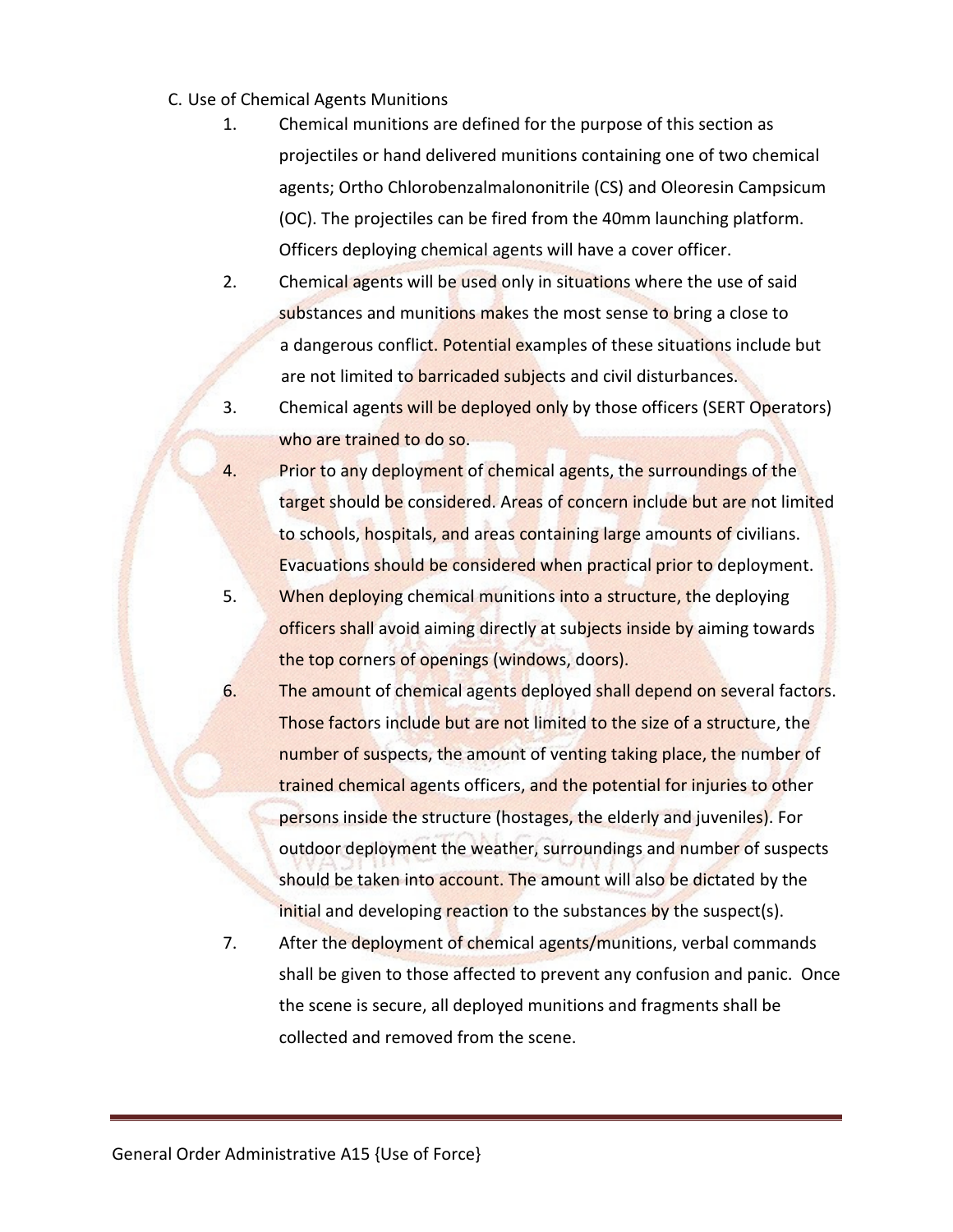- C. Use of Chemical Agents Munitions
	- 1. Chemical munitions are defined for the purpose of this section as projectiles or hand delivered munitions containing one of two chemical agents; Ortho Chlorobenzalmalononitrile (CS) and Oleoresin Campsicum (OC). The projectiles can be fired from the 40mm launching platform. Officers deploying chemical agents will have a cover officer.
	- 2. Chemical agents will be used only in situations where the use of said substances and munitions makes the most sense to bring a close to a dangerous conflict. Potential examples of these situations include but are not limited to **barricaded subjects** and civil disturbances.
	- 3. Chemical agents will be deployed only by those officers (SERT Operators) who are trained to do so.
	- 4. Prior to any deployment of chemical agents, the surroundings of the target should be considered. Areas of concern include but are not limited to schools, hospitals, and areas containing large amounts of civilians. Evacuations should be considered when practical prior to deployment.
	- 5. When deploying chemical munitions into a structure, the deploying officers shall avoid aiming directly at subjects inside by aiming towards the top corners of openings (windows, doors).
	- 6. The amount of chemical agents deployed shall depend on several factors. Those factors include but are not limited to the size of a structure, the number of suspects, the amount of venting taking place, the number of trained chemical agents officers, and the potential for injuries to other persons inside the structure (hostages, the elderly and juveniles). For outdoor deployment the weather, surroundings and number of suspects should be taken into account. The amount will also be dictated by the initial and developing reaction to the substances by the suspect(s).
	- 7. After the deployment of chemical agents/munitions, verbal commands shall be given to those affected to prevent any confusion and panic. Once the scene is secure, all deployed munitions and fragments shall be collected and removed from the scene.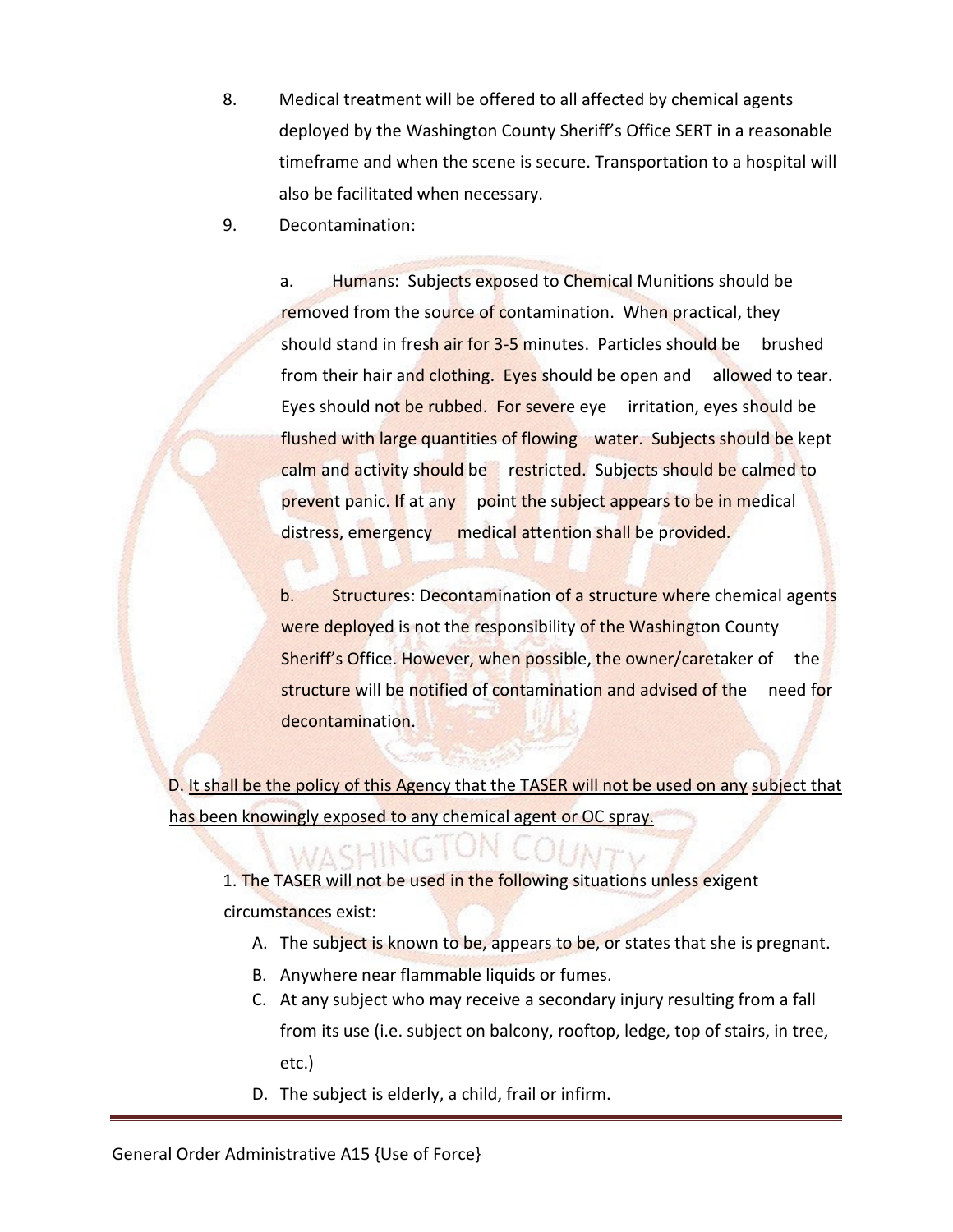- 8. Medical treatment will be offered to all affected by chemical agents deployed by the Washington County Sheriff's Office SERT in a reasonable timeframe and when the scene is secure. Transportation to a hospital will also be facilitated when necessary.
- 9. Decontamination:

a. Humans: Subjects exposed to Chemical Munitions should be removed from the source of contamination. When practical, they should stand in fresh air for 3-5 minutes. Particles should be brushed from their hair and clothing. Eyes should be open and allowed to tear. Eyes should not be rubbed. For severe eye irritation, eyes should be flushed with large quantities of flowing water. Subjects should be kept calm and activity should be restricted. Subjects should be calmed to prevent panic. If at any point the subject appears to be in medical distress, emergency medical attention shall be provided.

b. Structures: Decontamination of a structure where chemical agents were deployed is not the responsibility of the Washington County Sheriff's Office. However, when possible, the owner/caretaker of the structure will be notified of contamination and advised of the need for decontamination.

D. It shall be the policy of this Agency that the TASER will not be used on any subject that has been knowingly exposed to any chemical agent or OC spray.

1. The TASER will not be used in the following situations unless exigent circumstances exist:

- A. The subject is known to be, appears to be, or states that she is pregnant.
- B. Anywhere near flammable liquids or fumes.
- C. At any subject who may receive a secondary injury resulting from a fall from its use (i.e. subject on balcony, rooftop, ledge, top of stairs, in tree, etc.)
- D. The subject is elderly, a child, frail or infirm.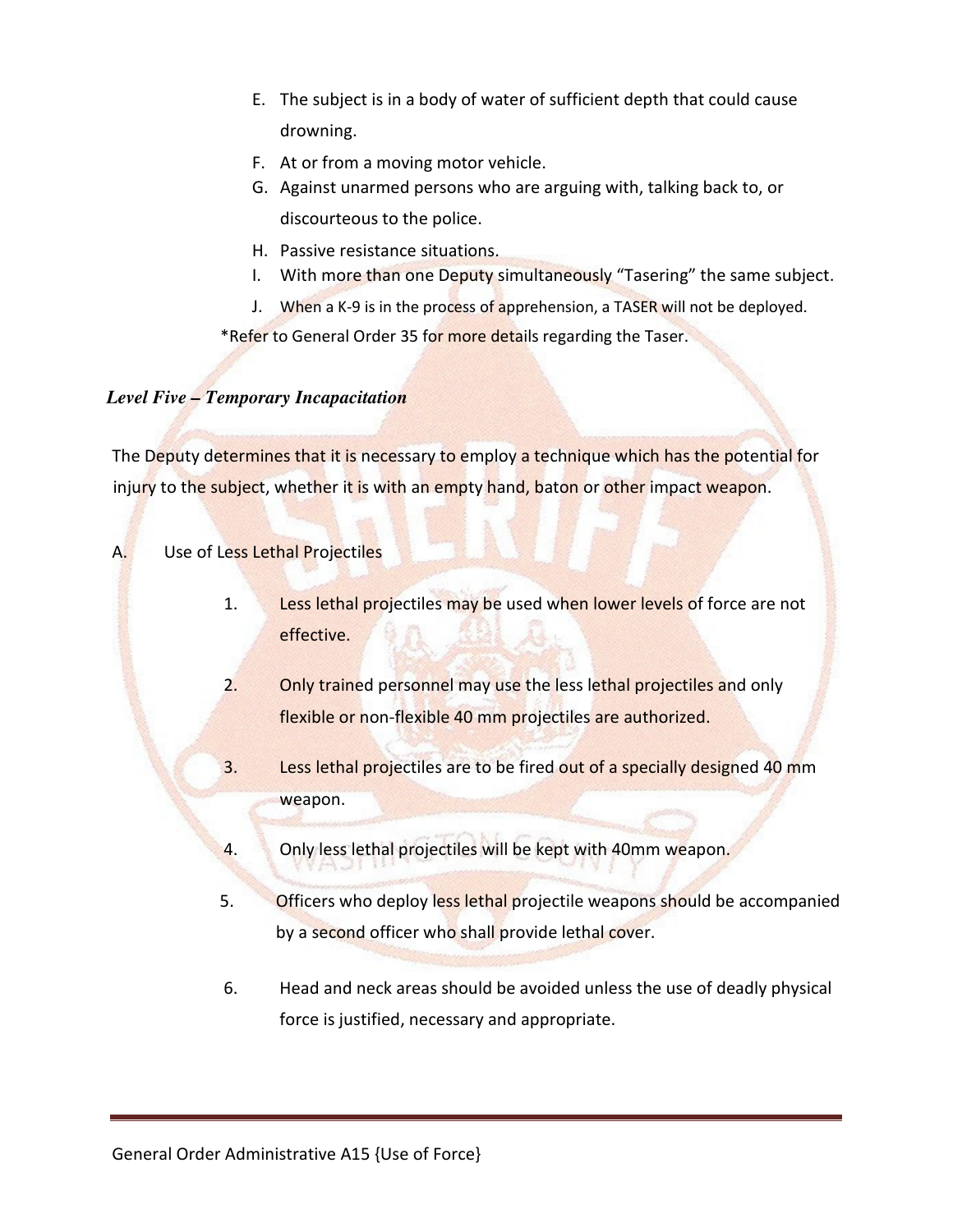- E. The subject is in a body of water of sufficient depth that could cause drowning.
- F. At or from a moving motor vehicle.
- G. Against unarmed persons who are arguing with, talking back to, or discourteous to the police.
- H. Passive resistance situations.
- I. With more than one Deputy simultaneously "Tasering" the same subject.
- J. When a K-9 is in the process of apprehension, a TASER will not be deployed.

\*Refer to General Order 35 for more details regarding the Taser.

# *Level Five – Temporary Incapacitation*

The Deputy determines that it is necessary to employ a technique which has the potential for injury to the subject, whether it is with an empty hand, baton or other impact weapon.

# A. Use of Less Lethal Projectiles

- 1. Less lethal projectiles may be used when lower levels of force are not effective.
- 2. Only trained personnel may use the less lethal projectiles and only flexible or non-flexible 40 mm projectiles are authorized.
- 3. Less lethal projectiles are to be fired out of a specially designed 40 mm weapon.
- 4. Only less lethal projectiles will be kept with 40mm weapon.
- 5. Officers who deploy less lethal projectile weapons should be accompanied by a second officer who shall provide lethal cover.
- 6. Head and neck areas should be avoided unless the use of deadly physical force is justified, necessary and appropriate.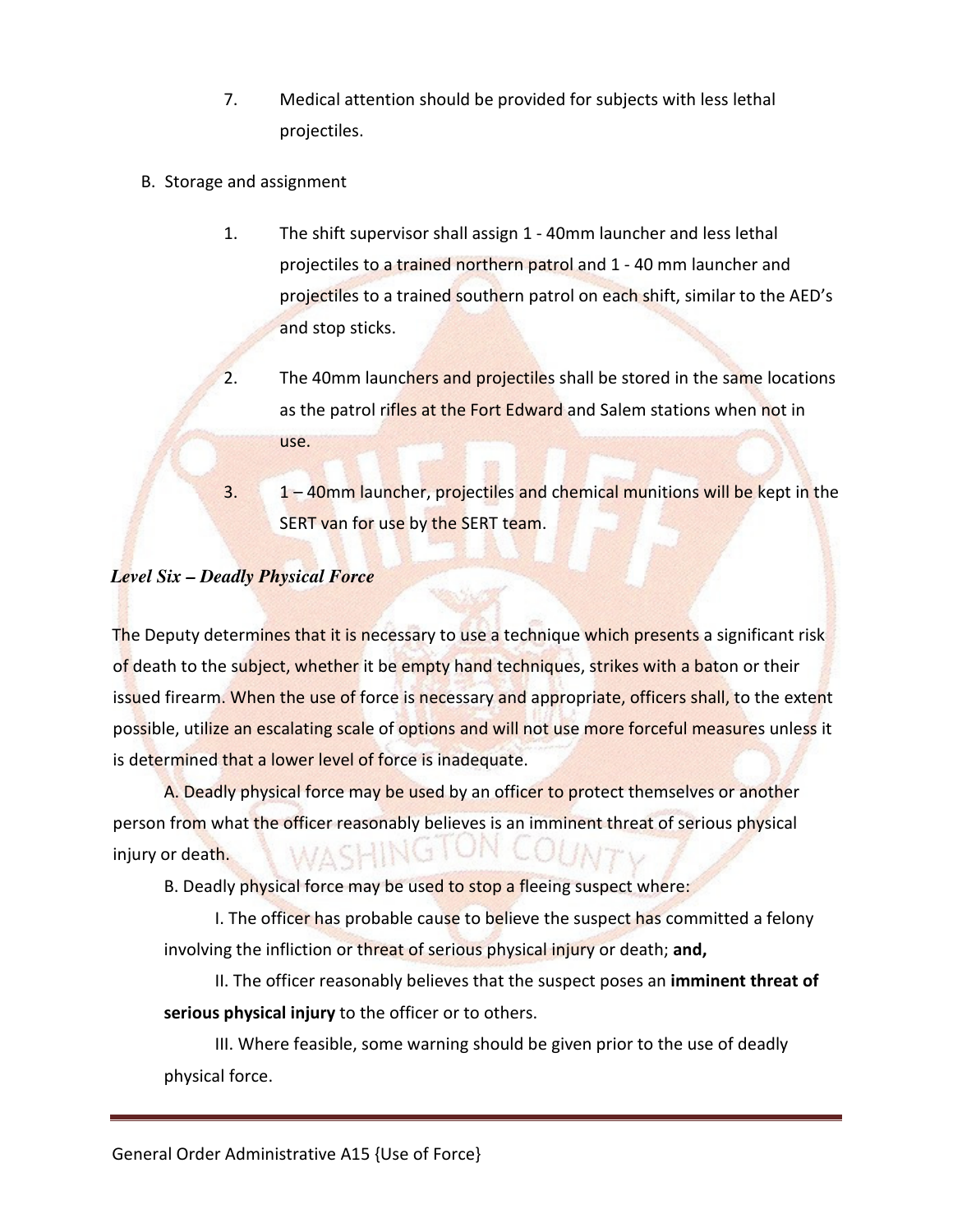- 7. Medical attention should be provided for subjects with less lethal projectiles.
- B. Storage and assignment
	- 1. The shift supervisor shall assign 1 40mm launcher and less lethal projectiles to a trained northern patrol and 1 - 40 mm launcher and projectiles to a trained southern patrol on each shift, similar to the AED's and stop sticks.
	- 2. The 40mm launchers and projectiles shall be stored in the same locations as the patrol rifles at the Fort Edward and Salem stations when not in use.

3. 1 – 40mm launcher, projectiles and chemical munitions will be kept in the SERT van for use by the SERT team.

# *Level Six – Deadly Physical Force*

The Deputy determines that it is necessary to use a technique which presents a significant risk of death to the subject, whether it be empty hand techniques, strikes with a baton or their issued firearm. When the use of force is necessary and appropriate, officers shall, to the extent possible, utilize an escalating scale of options and will not use more forceful measures unless it is determined that a lower level of force is inadequate.

A. Deadly physical force may be used by an officer to protect themselves or another person from what the officer reasonably believes is an imminent threat of serious physical injury or death.

B. Deadly physical force may be used to stop a fleeing suspect where:

I. The officer has probable cause to believe the suspect has committed a felony involving the infliction or threat of serious physical injury or death; **and,**

II. The officer reasonably believes that the suspect poses an **imminent threat of serious physical injury** to the officer or to others.

III. Where feasible, some warning should be given prior to the use of deadly physical force.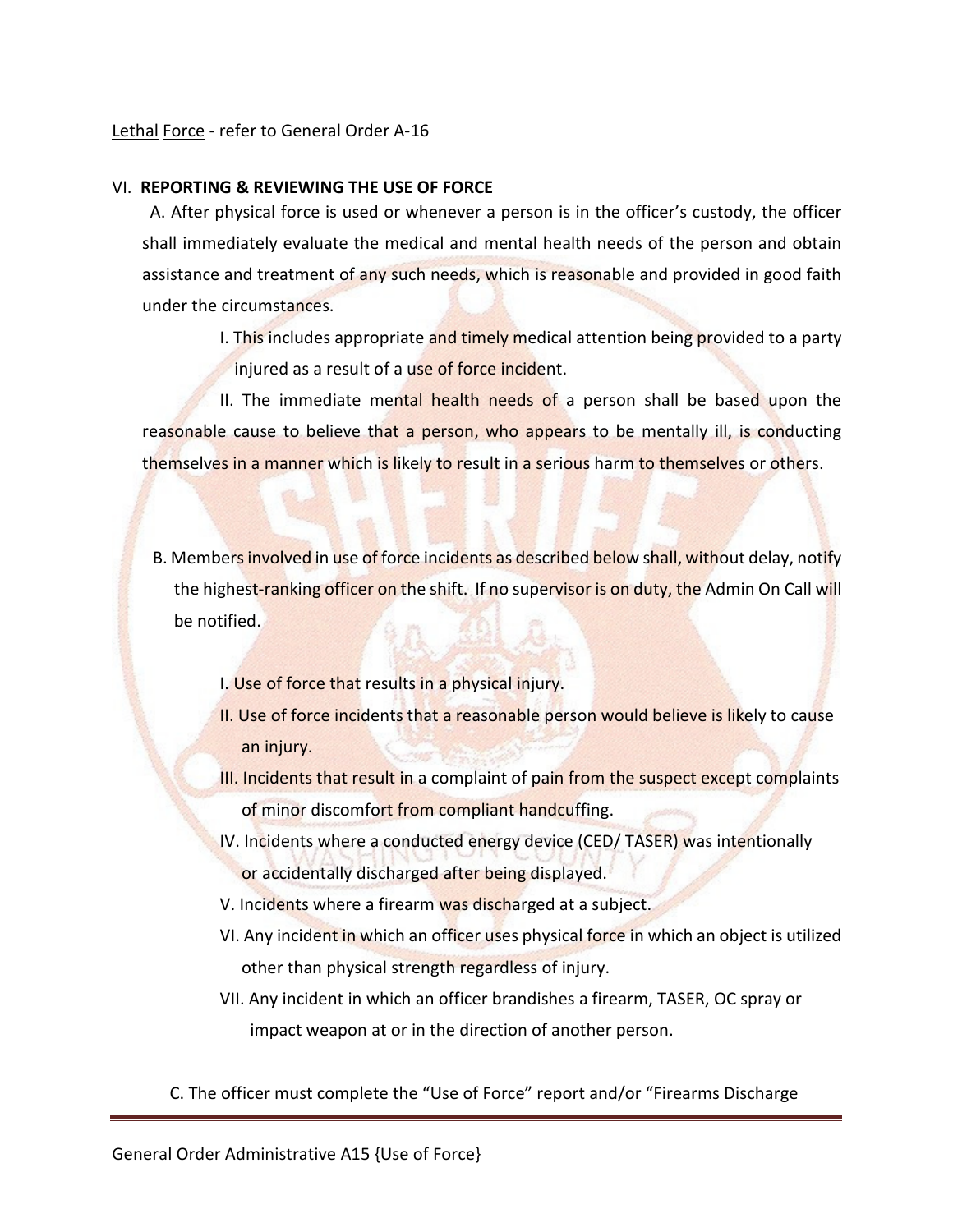## Lethal Force - refer to General Order A-16

#### VI. **REPORTING & REVIEWING THE USE OF FORCE**

 A. After physical force is used or whenever a person is in the officer's custody, the officer shall immediately evaluate the medical and mental health needs of the person and obtain assistance and treatment of any such needs, which is reasonable and provided in good faith under the circumstances.

> I. This includes appropriate and timely medical attention being provided to a party injured as a result of a use of force incident.

II. The immediate mental health needs of a person shall be based upon the reasonable cause to believe that a person, who appears to be mentally ill, is conducting themselves in a manner which is likely to result in a serious harm to themselves or others.

B. Members involved in use of force incidents as described below shall, without delay, notify the highest-ranking officer on the shift. If no supervisor is on duty, the Admin On Call will be notified.

- I. Use of force that results in a physical injury.
- II. Use of force incidents that a reasonable person would believe is likely to cause an injury.
- III. Incidents that result in a complaint of pain from the suspect except complaints of minor discomfort from compliant handcuffing.
- IV. Incidents where a conducted energy device (CED/ TASER) was intentionally or accidentally discharged after being displayed.
- V. Incidents where a firearm was discharged at a subject.
- VI. Any incident in which an officer uses physical force in which an object is utilized other than physical strength regardless of injury.
- VII. Any incident in which an officer brandishes a firearm, TASER, OC spray or impact weapon at or in the direction of another person.

C. The officer must complete the "Use of Force" report and/or "Firearms Discharge